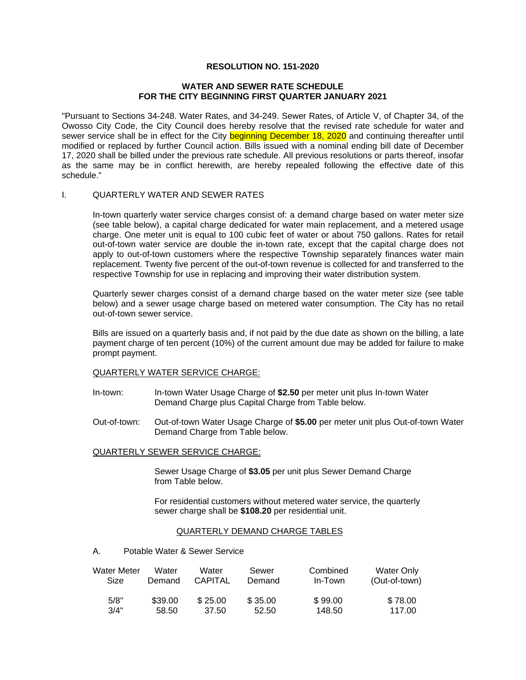# **RESOLUTION NO. 151-2020**

## **WATER AND SEWER RATE SCHEDULE FOR THE CITY BEGINNING FIRST QUARTER JANUARY 2021**

"Pursuant to Sections 34-248. Water Rates, and 34-249. Sewer Rates, of Article V, of Chapter 34, of the Owosso City Code, the City Council does hereby resolve that the revised rate schedule for water and sewer service shall be in effect for the City beginning December 18, 2020 and continuing thereafter until modified or replaced by further Council action. Bills issued with a nominal ending bill date of December 17, 2020 shall be billed under the previous rate schedule. All previous resolutions or parts thereof, insofar as the same may be in conflict herewith, are hereby repealed following the effective date of this schedule."

## I. QUARTERLY WATER AND SEWER RATES

In-town quarterly water service charges consist of: a demand charge based on water meter size (see table below), a capital charge dedicated for water main replacement, and a metered usage charge. One meter unit is equal to 100 cubic feet of water or about 750 gallons. Rates for retail out-of-town water service are double the in-town rate, except that the capital charge does not apply to out-of-town customers where the respective Township separately finances water main replacement. Twenty five percent of the out-of-town revenue is collected for and transferred to the respective Township for use in replacing and improving their water distribution system.

Quarterly sewer charges consist of a demand charge based on the water meter size (see table below) and a sewer usage charge based on metered water consumption. The City has no retail out-of-town sewer service.

Bills are issued on a quarterly basis and, if not paid by the due date as shown on the billing, a late payment charge of ten percent (10%) of the current amount due may be added for failure to make prompt payment.

## QUARTERLY WATER SERVICE CHARGE:

- In-town: In-town Water Usage Charge of **\$2.50** per meter unit plus In-town Water Demand Charge plus Capital Charge from Table below.
- Out-of-town: Out-of-town Water Usage Charge of **\$5.00** per meter unit plus Out-of-town Water Demand Charge from Table below.

# QUARTERLY SEWER SERVICE CHARGE:

Sewer Usage Charge of **\$3.05** per unit plus Sewer Demand Charge from Table below.

 For residential customers without metered water service, the quarterly sewer charge shall be **\$108.20** per residential unit.

## QUARTERLY DEMAND CHARGE TABLES

#### A. Potable Water & Sewer Service

| Water Meter | Water   | Water          | Sewer   | Combined | Water Only    |
|-------------|---------|----------------|---------|----------|---------------|
| Size        | Demand  | <b>CAPITAL</b> | Demand  | In-Town  | (Out-of-town) |
| 5/8"        | \$39.00 | \$25.00        | \$35.00 | \$99.00  | \$78.00       |
| 3/4"        | 58.50   | 37.50          | 52.50   | 148.50   | 117.00        |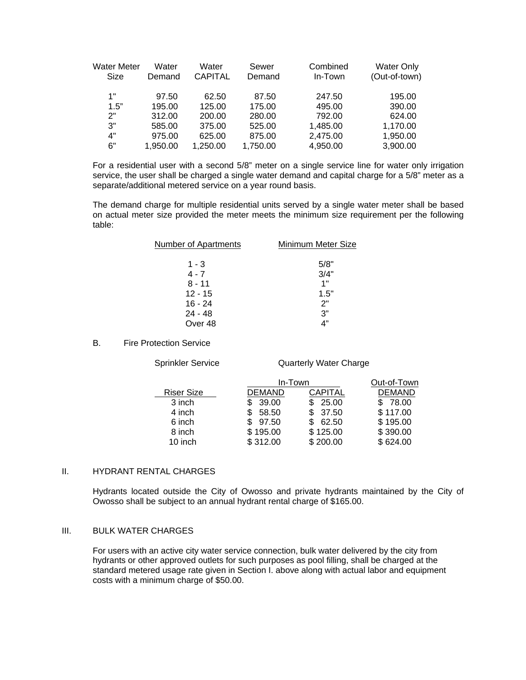| <b>Water Meter</b><br>Size | Water<br>Demand | Water<br><b>CAPITAL</b> | Sewer<br>Demand | Combined<br>In-Town | <b>Water Only</b><br>(Out-of-town) |
|----------------------------|-----------------|-------------------------|-----------------|---------------------|------------------------------------|
| 1"                         | 97.50           | 62.50                   | 87.50           | 247.50              | 195.00                             |
| 1.5"                       | 195.00          | 125.00                  | 175.00          | 495.00              | 390.00                             |
| 2"                         | 312.00          | 200.00                  | 280.00          | 792.00              | 624.00                             |
| 3"                         | 585.00          | 375.00                  | 525.00          | 1,485.00            | 1,170.00                           |
| 4"                         | 975.00          | 625.00                  | 875.00          | 2,475.00            | 1,950.00                           |
| 6"                         | 1.950.00        | 1,250.00                | 1,750.00        | 4,950.00            | 3,900.00                           |

For a residential user with a second 5/8" meter on a single service line for water only irrigation service, the user shall be charged a single water demand and capital charge for a 5/8" meter as a separate/additional metered service on a year round basis.

The demand charge for multiple residential units served by a single water meter shall be based on actual meter size provided the meter meets the minimum size requirement per the following table:

| <b>Number of Apartments</b> | Minimum Meter Size |
|-----------------------------|--------------------|
| 1 - 3                       | 5/8"               |
| $4 - 7$                     | 3/4"               |
| $8 - 11$                    | 1"                 |
| $12 - 15$                   | 1.5"               |
| $16 - 24$                   | 2"                 |
| $24 - 48$                   | 3"                 |
| Over 48                     | ת"                 |

B. Fire Protection Service

Sprinkler Service **Quarterly Water Charge** 

|                   |               | In-Town  |               |  |
|-------------------|---------------|----------|---------------|--|
| <b>Riser Size</b> | <b>DEMAND</b> | CAPITAL  | <b>DEMAND</b> |  |
| 3 inch            | 39.00         | 25.00    | 78.00         |  |
| 4 inch            | 58.50         | \$37.50  | \$117.00      |  |
| 6 inch            | 97.50         | 62.50    | \$195.00      |  |
| 8 inch            | \$195.00      | \$125.00 | \$390.00      |  |
| 10 inch           | \$312.00      | \$200.00 | \$624.00      |  |

## II. HYDRANT RENTAL CHARGES

Hydrants located outside the City of Owosso and private hydrants maintained by the City of Owosso shall be subject to an annual hydrant rental charge of \$165.00.

## III. BULK WATER CHARGES

For users with an active city water service connection, bulk water delivered by the city from hydrants or other approved outlets for such purposes as pool filling, shall be charged at the standard metered usage rate given in Section I. above along with actual labor and equipment costs with a minimum charge of \$50.00.